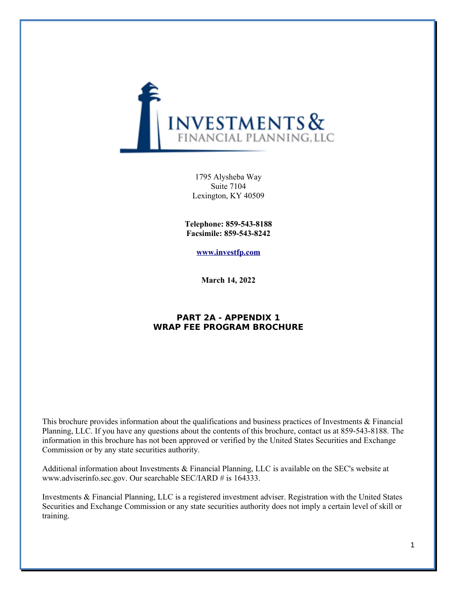

1795 Alysheba Way Suite 7104 Lexington, KY 40509

**Telephone: 859-543-8188 Facsimile: 859-543-8242**

**[www.investfp.com](http://www.investfp.com/)**

**March 14, 2022**

## **PART 2A - APPENDIX 1 WRAP FEE PROGRAM BROCHURE**

This brochure provides information about the qualifications and business practices of Investments & Financial Planning, LLC. If you have any questions about the contents of this brochure, contact us at 859-543-8188. The information in this brochure has not been approved or verified by the United States Securities and Exchange Commission or by any state securities authority.

Additional information about Investments & Financial Planning, LLC is available on the SEC's website at www.adviserinfo.sec.gov. Our searchable SEC/IARD # is 164333.

Investments & Financial Planning, LLC is a registered investment adviser. Registration with the United States Securities and Exchange Commission or any state securities authority does not imply a certain level of skill or training.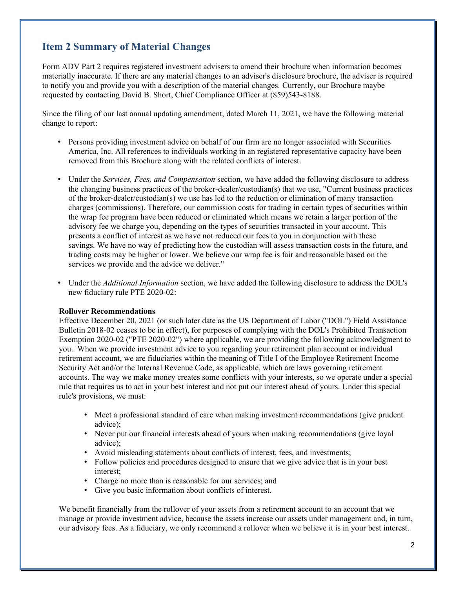## **Item 2 Summary of Material Changes**

Form ADV Part 2 requires registered investment advisers to amend their brochure when information becomes materially inaccurate. If there are any material changes to an adviser's disclosure brochure, the adviser is required to notify you and provide you with a description of the material changes. Currently, our Brochure maybe requested by contacting David B. Short, Chief Compliance Officer at (859)543-8188.

Since the filing of our last annual updating amendment, dated March 11, 2021, we have the following material change to report:

- Persons providing investment advice on behalf of our firm are no longer associated with Securities America, Inc. All references to individuals working in an registered representative capacity have been removed from this Brochure along with the related conflicts of interest.
- Under the *Services, Fees, and Compensation* section, we have added the following disclosure to address the changing business practices of the broker-dealer/custodian(s) that we use, "Current business practices of the broker-dealer/custodian(s) we use has led to the reduction or elimination of many transaction charges (commissions). Therefore, our commission costs for trading in certain types of securities within the wrap fee program have been reduced or eliminated which means we retain a larger portion of the advisory fee we charge you, depending on the types of securities transacted in your account. This presents a conflict of interest as we have not reduced our fees to you in conjunction with these savings. We have no way of predicting how the custodian will assess transaction costs in the future, and trading costs may be higher or lower. We believe our wrap fee is fair and reasonable based on the services we provide and the advice we deliver."
- Under the *Additional Information* section, we have added the following disclosure to address the DOL's new fiduciary rule PTE 2020-02:

## **Rollover Recommendations**

Effective December 20, 2021 (or such later date as the US Department of Labor ("DOL") Field Assistance Bulletin 2018-02 ceases to be in effect), for purposes of complying with the DOL's Prohibited Transaction Exemption 2020-02 ("PTE 2020-02") where applicable, we are providing the following acknowledgment to you. When we provide investment advice to you regarding your retirement plan account or individual retirement account, we are fiduciaries within the meaning of Title I of the Employee Retirement Income Security Act and/or the Internal Revenue Code, as applicable, which are laws governing retirement accounts. The way we make money creates some conflicts with your interests, so we operate under a special rule that requires us to act in your best interest and not put our interest ahead of yours. Under this special rule's provisions, we must:

- Meet a professional standard of care when making investment recommendations (give prudent advice);
- Never put our financial interests ahead of yours when making recommendations (give loyal advice);
- Avoid misleading statements about conflicts of interest, fees, and investments;
- Follow policies and procedures designed to ensure that we give advice that is in your best interest;
- Charge no more than is reasonable for our services; and
- Give you basic information about conflicts of interest.

We benefit financially from the rollover of your assets from a retirement account to an account that we manage or provide investment advice, because the assets increase our assets under management and, in turn, our advisory fees. As a fiduciary, we only recommend a rollover when we believe it is in your best interest.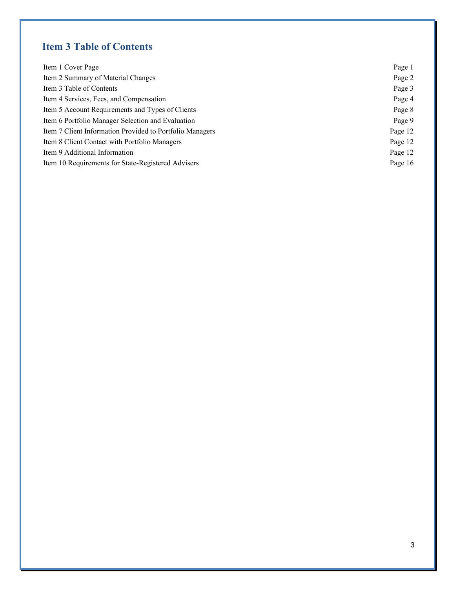# **Item 3 Table of Contents**

| Item 1 Cover Page                                        | Page 1  |
|----------------------------------------------------------|---------|
| Item 2 Summary of Material Changes                       | Page 2  |
| Item 3 Table of Contents                                 | Page 3  |
| Item 4 Services, Fees, and Compensation                  | Page 4  |
| Item 5 Account Requirements and Types of Clients         | Page 8  |
| Item 6 Portfolio Manager Selection and Evaluation        | Page 9  |
| Item 7 Client Information Provided to Portfolio Managers | Page 12 |
| Item 8 Client Contact with Portfolio Managers            | Page 12 |
| Item 9 Additional Information                            | Page 12 |
| Item 10 Requirements for State-Registered Advisers       | Page 16 |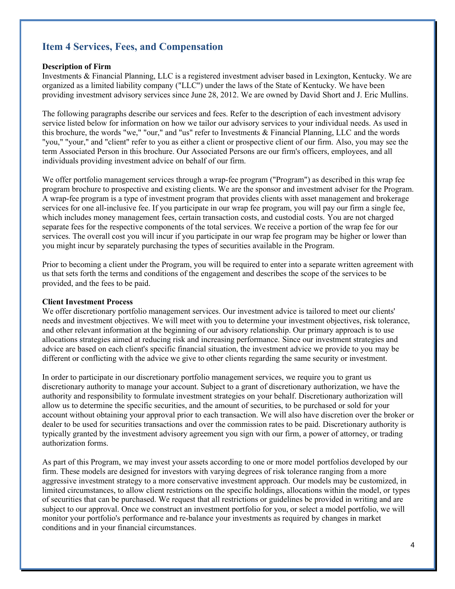## **Item 4 Services, Fees, and Compensation**

#### **Description of Firm**

Investments & Financial Planning, LLC is a registered investment adviser based in Lexington, Kentucky. We are organized as a limited liability company ("LLC") under the laws of the State of Kentucky. We have been providing investment advisory services since June 28, 2012. We are owned by David Short and J. Eric Mullins.

The following paragraphs describe our services and fees. Refer to the description of each investment advisory service listed below for information on how we tailor our advisory services to your individual needs. As used in this brochure, the words "we," "our," and "us" refer to Investments & Financial Planning, LLC and the words "you," "your," and "client" refer to you as either a client or prospective client of our firm. Also, you may see the term Associated Person in this brochure. Our Associated Persons are our firm's officers, employees, and all individuals providing investment advice on behalf of our firm.

We offer portfolio management services through a wrap-fee program ("Program") as described in this wrap fee program brochure to prospective and existing clients. We are the sponsor and investment adviser for the Program. A wrap-fee program is a type of investment program that provides clients with asset management and brokerage services for one all-inclusive fee. If you participate in our wrap fee program, you will pay our firm a single fee, which includes money management fees, certain transaction costs, and custodial costs. You are not charged separate fees for the respective components of the total services. We receive a portion of the wrap fee for our services. The overall cost you will incur if you participate in our wrap fee program may be higher or lower than you might incur by separately purchasing the types of securities available in the Program.

Prior to becoming a client under the Program, you will be required to enter into a separate written agreement with us that sets forth the terms and conditions of the engagement and describes the scope of the services to be provided, and the fees to be paid.

#### **Client Investment Process**

We offer discretionary portfolio management services. Our investment advice is tailored to meet our clients' needs and investment objectives. We will meet with you to determine your investment objectives, risk tolerance, and other relevant information at the beginning of our advisory relationship. Our primary approach is to use allocations strategies aimed at reducing risk and increasing performance. Since our investment strategies and advice are based on each client's specific financial situation, the investment advice we provide to you may be different or conflicting with the advice we give to other clients regarding the same security or investment.

In order to participate in our discretionary portfolio management services, we require you to grant us discretionary authority to manage your account. Subject to a grant of discretionary authorization, we have the authority and responsibility to formulate investment strategies on your behalf. Discretionary authorization will allow us to determine the specific securities, and the amount of securities, to be purchased or sold for your account without obtaining your approval prior to each transaction. We will also have discretion over the broker or dealer to be used for securities transactions and over the commission rates to be paid. Discretionary authority is typically granted by the investment advisory agreement you sign with our firm, a power of attorney, or trading authorization forms.

As part of this Program, we may invest your assets according to one or more model portfolios developed by our firm. These models are designed for investors with varying degrees of risk tolerance ranging from a more aggressive investment strategy to a more conservative investment approach. Our models may be customized, in limited circumstances, to allow client restrictions on the specific holdings, allocations within the model, or types of securities that can be purchased. We request that all restrictions or guidelines be provided in writing and are subject to our approval. Once we construct an investment portfolio for you, or select a model portfolio, we will monitor your portfolio's performance and re-balance your investments as required by changes in market conditions and in your financial circumstances.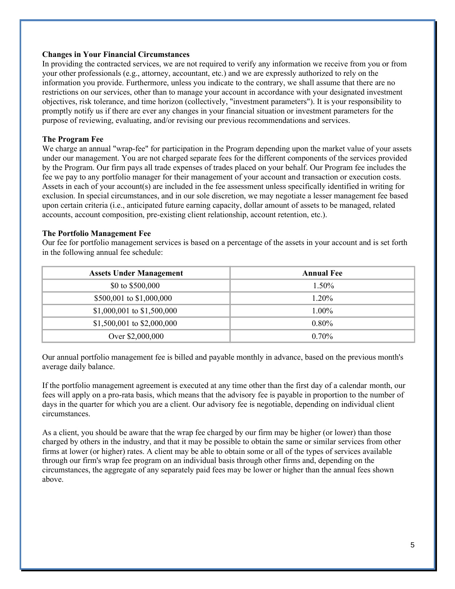#### **Changes in Your Financial Circumstances**

In providing the contracted services, we are not required to verify any information we receive from you or from your other professionals (e.g., attorney, accountant, etc.) and we are expressly authorized to rely on the information you provide. Furthermore, unless you indicate to the contrary, we shall assume that there are no restrictions on our services, other than to manage your account in accordance with your designated investment objectives, risk tolerance, and time horizon (collectively, "investment parameters"). It is your responsibility to promptly notify us if there are ever any changes in your financial situation or investment parameters for the purpose of reviewing, evaluating, and/or revising our previous recommendations and services.

### **The Program Fee**

We charge an annual "wrap-fee" for participation in the Program depending upon the market value of your assets under our management. You are not charged separate fees for the different components of the services provided by the Program. Our firm pays all trade expenses of trades placed on your behalf. Our Program fee includes the fee we pay to any portfolio manager for their management of your account and transaction or execution costs. Assets in each of your account(s) are included in the fee assessment unless specifically identified in writing for exclusion. In special circumstances, and in our sole discretion, we may negotiate a lesser management fee based upon certain criteria (i.e., anticipated future earning capacity, dollar amount of assets to be managed, related accounts, account composition, pre-existing client relationship, account retention, etc.).

#### **The Portfolio Management Fee**

Our fee for portfolio management services is based on a percentage of the assets in your account and is set forth in the following annual fee schedule:

| <b>Assets Under Management</b> | <b>Annual Fee</b> |
|--------------------------------|-------------------|
| \$0 to \$500,000               | $1.50\%$          |
| \$500,001 to \$1,000,000       | 1.20%             |
| \$1,000,001 to \$1,500,000     | $1.00\%$          |
| \$1,500,001 to \$2,000,000     | $0.80\%$          |
| Over \$2,000,000               | $0.70\%$          |

Our annual portfolio management fee is billed and payable monthly in advance, based on the previous month's average daily balance.

If the portfolio management agreement is executed at any time other than the first day of a calendar month, our fees will apply on a pro-rata basis, which means that the advisory fee is payable in proportion to the number of days in the quarter for which you are a client. Our advisory fee is negotiable, depending on individual client circumstances.

As a client, you should be aware that the wrap fee charged by our firm may be higher (or lower) than those charged by others in the industry, and that it may be possible to obtain the same or similar services from other firms at lower (or higher) rates. A client may be able to obtain some or all of the types of services available through our firm's wrap fee program on an individual basis through other firms and, depending on the circumstances, the aggregate of any separately paid fees may be lower or higher than the annual fees shown above.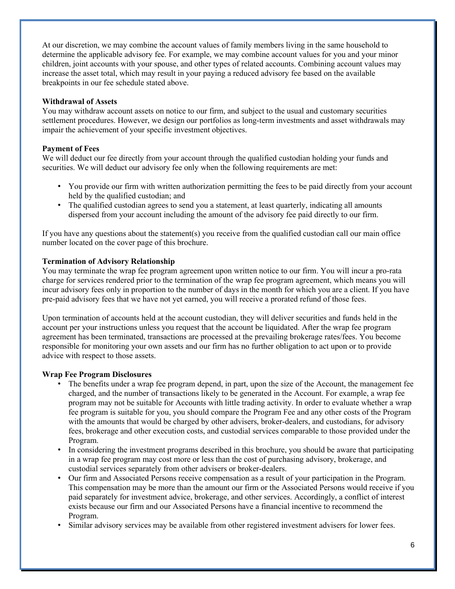At our discretion, we may combine the account values of family members living in the same household to determine the applicable advisory fee. For example, we may combine account values for you and your minor children, joint accounts with your spouse, and other types of related accounts. Combining account values may increase the asset total, which may result in your paying a reduced advisory fee based on the available breakpoints in our fee schedule stated above.

## **Withdrawal of Assets**

You may withdraw account assets on notice to our firm, and subject to the usual and customary securities settlement procedures. However, we design our portfolios as long-term investments and asset withdrawals may impair the achievement of your specific investment objectives.

## **Payment of Fees**

We will deduct our fee directly from your account through the qualified custodian holding your funds and securities. We will deduct our advisory fee only when the following requirements are met:

- You provide our firm with written authorization permitting the fees to be paid directly from your account held by the qualified custodian; and
- The qualified custodian agrees to send you a statement, at least quarterly, indicating all amounts dispersed from your account including the amount of the advisory fee paid directly to our firm.

If you have any questions about the statement(s) you receive from the qualified custodian call our main office number located on the cover page of this brochure.

## **Termination of Advisory Relationship**

You may terminate the wrap fee program agreement upon written notice to our firm. You will incur a pro-rata charge for services rendered prior to the termination of the wrap fee program agreement, which means you will incur advisory fees only in proportion to the number of days in the month for which you are a client. If you have pre-paid advisory fees that we have not yet earned, you will receive a prorated refund of those fees.

Upon termination of accounts held at the account custodian, they will deliver securities and funds held in the account per your instructions unless you request that the account be liquidated. After the wrap fee program agreement has been terminated, transactions are processed at the prevailing brokerage rates/fees. You become responsible for monitoring your own assets and our firm has no further obligation to act upon or to provide advice with respect to those assets.

## **Wrap Fee Program Disclosures**

- The benefits under a wrap fee program depend, in part, upon the size of the Account, the management fee charged, and the number of transactions likely to be generated in the Account. For example, a wrap fee program may not be suitable for Accounts with little trading activity. In order to evaluate whether a wrap fee program is suitable for you, you should compare the Program Fee and any other costs of the Program with the amounts that would be charged by other advisers, broker-dealers, and custodians, for advisory fees, brokerage and other execution costs, and custodial services comparable to those provided under the Program.
- In considering the investment programs described in this brochure, you should be aware that participating in a wrap fee program may cost more or less than the cost of purchasing advisory, brokerage, and custodial services separately from other advisers or broker-dealers.
- Our firm and Associated Persons receive compensation as a result of your participation in the Program. This compensation may be more than the amount our firm or the Associated Persons would receive if you paid separately for investment advice, brokerage, and other services. Accordingly, a conflict of interest exists because our firm and our Associated Persons have a financial incentive to recommend the Program.
- Similar advisory services may be available from other registered investment advisers for lower fees.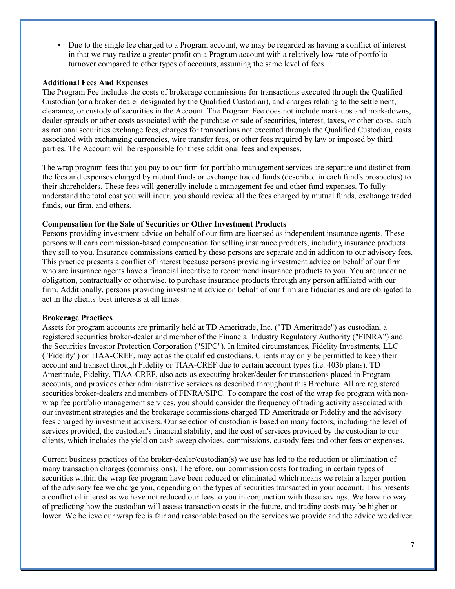• Due to the single fee charged to a Program account, we may be regarded as having a conflict of interest in that we may realize a greater profit on a Program account with a relatively low rate of portfolio turnover compared to other types of accounts, assuming the same level of fees.

#### **Additional Fees And Expenses**

The Program Fee includes the costs of brokerage commissions for transactions executed through the Qualified Custodian (or a broker-dealer designated by the Qualified Custodian), and charges relating to the settlement, clearance, or custody of securities in the Account. The Program Fee does not include mark-ups and mark-downs, dealer spreads or other costs associated with the purchase or sale of securities, interest, taxes, or other costs, such as national securities exchange fees, charges for transactions not executed through the Qualified Custodian, costs associated with exchanging currencies, wire transfer fees, or other fees required by law or imposed by third parties. The Account will be responsible for these additional fees and expenses.

The wrap program fees that you pay to our firm for portfolio management services are separate and distinct from the fees and expenses charged by mutual funds or exchange traded funds (described in each fund's prospectus) to their shareholders. These fees will generally include a management fee and other fund expenses. To fully understand the total cost you will incur, you should review all the fees charged by mutual funds, exchange traded funds, our firm, and others.

#### **Compensation for the Sale of Securities or Other Investment Products**

Persons providing investment advice on behalf of our firm are licensed as independent insurance agents. These persons will earn commission-based compensation for selling insurance products, including insurance products they sell to you. Insurance commissions earned by these persons are separate and in addition to our advisory fees. This practice presents a conflict of interest because persons providing investment advice on behalf of our firm who are insurance agents have a financial incentive to recommend insurance products to you. You are under no obligation, contractually or otherwise, to purchase insurance products through any person affiliated with our firm. Additionally, persons providing investment advice on behalf of our firm are fiduciaries and are obligated to act in the clients' best interests at all times.

#### **Brokerage Practices**

Assets for program accounts are primarily held at TD Ameritrade, Inc. ("TD Ameritrade") as custodian, a registered securities broker-dealer and member of the Financial Industry Regulatory Authority ("FINRA") and the Securities Investor Protection Corporation ("SIPC"). In limited circumstances, Fidelity Investments, LLC ("Fidelity") or TIAA-CREF, may act as the qualified custodians. Clients may only be permitted to keep their account and transact through Fidelity or TIAA-CREF due to certain account types (i.e. 403b plans). TD Ameritrade, Fidelity, TIAA-CREF, also acts as executing broker/dealer for transactions placed in Program accounts, and provides other administrative services as described throughout this Brochure. All are registered securities broker-dealers and members of FINRA/SIPC. To compare the cost of the wrap fee program with nonwrap fee portfolio management services, you should consider the frequency of trading activity associated with our investment strategies and the brokerage commissions charged TD Ameritrade or Fidelity and the advisory fees charged by investment advisers. Our selection of custodian is based on many factors, including the level of services provided, the custodian's financial stability, and the cost of services provided by the custodian to our clients, which includes the yield on cash sweep choices, commissions, custody fees and other fees or expenses.

Current business practices of the broker-dealer/custodian(s) we use has led to the reduction or elimination of many transaction charges (commissions). Therefore, our commission costs for trading in certain types of securities within the wrap fee program have been reduced or eliminated which means we retain a larger portion of the advisory fee we charge you, depending on the types of securities transacted in your account. This presents a conflict of interest as we have not reduced our fees to you in conjunction with these savings. We have no way of predicting how the custodian will assess transaction costs in the future, and trading costs may be higher or lower. We believe our wrap fee is fair and reasonable based on the services we provide and the advice we deliver.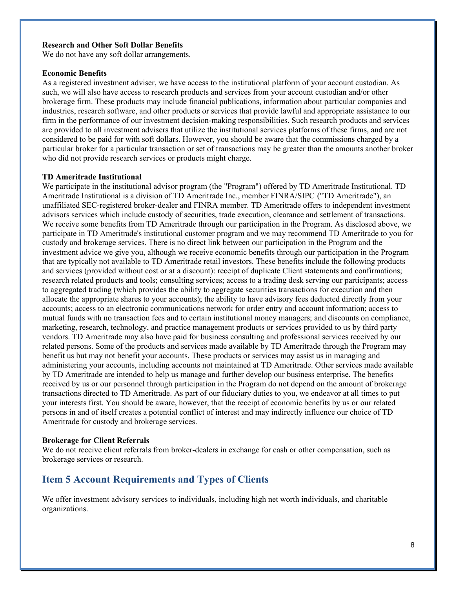#### **Research and Other Soft Dollar Benefits**

We do not have any soft dollar arrangements.

## **Economic Benefits**

As a registered investment adviser, we have access to the institutional platform of your account custodian. As such, we will also have access to research products and services from your account custodian and/or other brokerage firm. These products may include financial publications, information about particular companies and industries, research software, and other products or services that provide lawful and appropriate assistance to our firm in the performance of our investment decision-making responsibilities. Such research products and services are provided to all investment advisers that utilize the institutional services platforms of these firms, and are not considered to be paid for with soft dollars. However, you should be aware that the commissions charged by a particular broker for a particular transaction or set of transactions may be greater than the amounts another broker who did not provide research services or products might charge.

#### **TD Ameritrade Institutional**

We participate in the institutional advisor program (the "Program") offered by TD Ameritrade Institutional. TD Ameritrade Institutional is a division of TD Ameritrade Inc., member FINRA/SIPC ("TD Ameritrade"), an unaffiliated SEC-registered broker-dealer and FINRA member. TD Ameritrade offers to independent investment advisors services which include custody of securities, trade execution, clearance and settlement of transactions. We receive some benefits from TD Ameritrade through our participation in the Program. As disclosed above, we participate in TD Ameritrade's institutional customer program and we may recommend TD Ameritrade to you for custody and brokerage services. There is no direct link between our participation in the Program and the investment advice we give you, although we receive economic benefits through our participation in the Program that are typically not available to TD Ameritrade retail investors. These benefits include the following products and services (provided without cost or at a discount): receipt of duplicate Client statements and confirmations; research related products and tools; consulting services; access to a trading desk serving our participants; access to aggregated trading (which provides the ability to aggregate securities transactions for execution and then allocate the appropriate shares to your accounts); the ability to have advisory fees deducted directly from your accounts; access to an electronic communications network for order entry and account information; access to mutual funds with no transaction fees and to certain institutional money managers; and discounts on compliance, marketing, research, technology, and practice management products or services provided to us by third party vendors. TD Ameritrade may also have paid for business consulting and professional services received by our related persons. Some of the products and services made available by TD Ameritrade through the Program may benefit us but may not benefit your accounts. These products or services may assist us in managing and administering your accounts, including accounts not maintained at TD Ameritrade. Other services made available by TD Ameritrade are intended to help us manage and further develop our business enterprise. The benefits received by us or our personnel through participation in the Program do not depend on the amount of brokerage transactions directed to TD Ameritrade. As part of our fiduciary duties to you, we endeavor at all times to put your interests first. You should be aware, however, that the receipt of economic benefits by us or our related persons in and of itself creates a potential conflict of interest and may indirectly influence our choice of TD Ameritrade for custody and brokerage services.

#### **Brokerage for Client Referrals**

We do not receive client referrals from broker-dealers in exchange for cash or other compensation, such as brokerage services or research.

## **Item 5 Account Requirements and Types of Clients**

We offer investment advisory services to individuals, including high net worth individuals, and charitable organizations.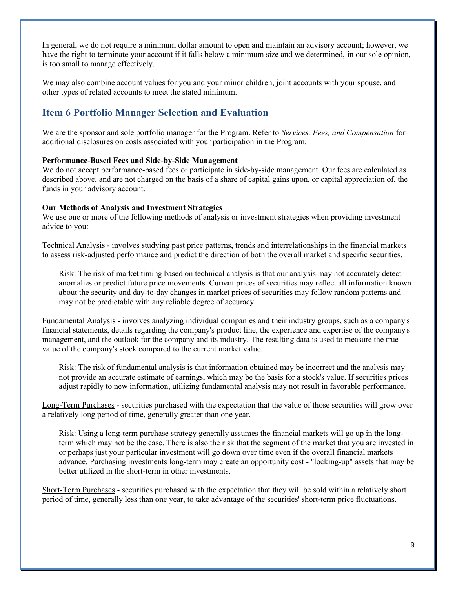In general, we do not require a minimum dollar amount to open and maintain an advisory account; however, we have the right to terminate your account if it falls below a minimum size and we determined, in our sole opinion, is too small to manage effectively.

We may also combine account values for you and your minor children, joint accounts with your spouse, and other types of related accounts to meet the stated minimum.

## **Item 6 Portfolio Manager Selection and Evaluation**

We are the sponsor and sole portfolio manager for the Program. Refer to *Services, Fees, and Compensation* for additional disclosures on costs associated with your participation in the Program.

## **Performance-Based Fees and Side-by-Side Management**

We do not accept performance-based fees or participate in side-by-side management. Our fees are calculated as described above, and are not charged on the basis of a share of capital gains upon, or capital appreciation of, the funds in your advisory account.

#### **Our Methods of Analysis and Investment Strategies**

We use one or more of the following methods of analysis or investment strategies when providing investment advice to you:

Technical Analysis - involves studying past price patterns, trends and interrelationships in the financial markets to assess risk-adjusted performance and predict the direction of both the overall market and specific securities.

Risk: The risk of market timing based on technical analysis is that our analysis may not accurately detect anomalies or predict future price movements. Current prices of securities may reflect all information known about the security and day-to-day changes in market prices of securities may follow random patterns and may not be predictable with any reliable degree of accuracy.

Fundamental Analysis - involves analyzing individual companies and their industry groups, such as a company's financial statements, details regarding the company's product line, the experience and expertise of the company's management, and the outlook for the company and its industry. The resulting data is used to measure the true value of the company's stock compared to the current market value.

Risk: The risk of fundamental analysis is that information obtained may be incorrect and the analysis may not provide an accurate estimate of earnings, which may be the basis for a stock's value. If securities prices adjust rapidly to new information, utilizing fundamental analysis may not result in favorable performance.

Long-Term Purchases - securities purchased with the expectation that the value of those securities will grow over a relatively long period of time, generally greater than one year.

Risk: Using a long-term purchase strategy generally assumes the financial markets will go up in the longterm which may not be the case. There is also the risk that the segment of the market that you are invested in or perhaps just your particular investment will go down over time even if the overall financial markets advance. Purchasing investments long-term may create an opportunity cost - "locking-up" assets that may be better utilized in the short-term in other investments.

Short-Term Purchases - securities purchased with the expectation that they will be sold within a relatively short period of time, generally less than one year, to take advantage of the securities' short-term price fluctuations.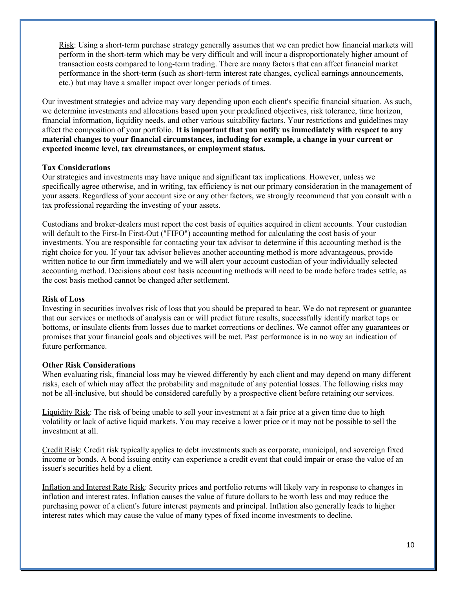Risk: Using a short-term purchase strategy generally assumes that we can predict how financial markets will perform in the short-term which may be very difficult and will incur a disproportionately higher amount of transaction costs compared to long-term trading. There are many factors that can affect financial market performance in the short-term (such as short-term interest rate changes, cyclical earnings announcements, etc.) but may have a smaller impact over longer periods of times.

Our investment strategies and advice may vary depending upon each client's specific financial situation. As such, we determine investments and allocations based upon your predefined objectives, risk tolerance, time horizon, financial information, liquidity needs, and other various suitability factors. Your restrictions and guidelines may affect the composition of your portfolio. **It is important that you notify us immediately with respect to any material changes to your financial circumstances, including for example, a change in your current or expected income level, tax circumstances, or employment status.**

## **Tax Considerations**

Our strategies and investments may have unique and significant tax implications. However, unless we specifically agree otherwise, and in writing, tax efficiency is not our primary consideration in the management of your assets. Regardless of your account size or any other factors, we strongly recommend that you consult with a tax professional regarding the investing of your assets.

Custodians and broker-dealers must report the cost basis of equities acquired in client accounts. Your custodian will default to the First-In First-Out ("FIFO") accounting method for calculating the cost basis of your investments. You are responsible for contacting your tax advisor to determine if this accounting method is the right choice for you. If your tax advisor believes another accounting method is more advantageous, provide written notice to our firm immediately and we will alert your account custodian of your individually selected accounting method. Decisions about cost basis accounting methods will need to be made before trades settle, as the cost basis method cannot be changed after settlement.

#### **Risk of Loss**

Investing in securities involves risk of loss that you should be prepared to bear. We do not represent or guarantee that our services or methods of analysis can or will predict future results, successfully identify market tops or bottoms, or insulate clients from losses due to market corrections or declines. We cannot offer any guarantees or promises that your financial goals and objectives will be met. Past performance is in no way an indication of future performance.

#### **Other Risk Considerations**

When evaluating risk, financial loss may be viewed differently by each client and may depend on many different risks, each of which may affect the probability and magnitude of any potential losses. The following risks may not be all-inclusive, but should be considered carefully by a prospective client before retaining our services.

Liquidity Risk: The risk of being unable to sell your investment at a fair price at a given time due to high volatility or lack of active liquid markets. You may receive a lower price or it may not be possible to sell the investment at all.

Credit Risk: Credit risk typically applies to debt investments such as corporate, municipal, and sovereign fixed income or bonds. A bond issuing entity can experience a credit event that could impair or erase the value of an issuer's securities held by a client.

Inflation and Interest Rate Risk: Security prices and portfolio returns will likely vary in response to changes in inflation and interest rates. Inflation causes the value of future dollars to be worth less and may reduce the purchasing power of a client's future interest payments and principal. Inflation also generally leads to higher interest rates which may cause the value of many types of fixed income investments to decline.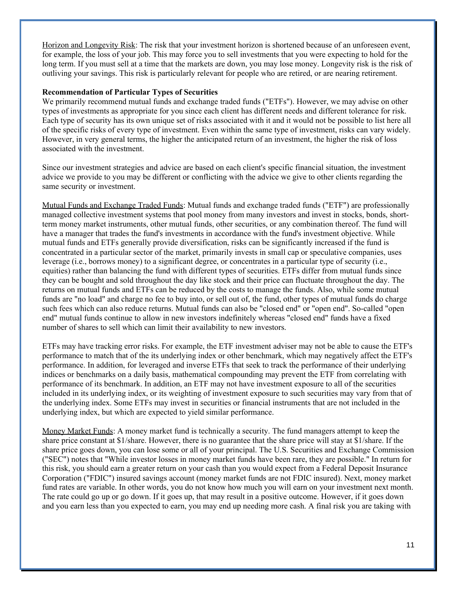Horizon and Longevity Risk: The risk that your investment horizon is shortened because of an unforeseen event, for example, the loss of your job. This may force you to sell investments that you were expecting to hold for the long term. If you must sell at a time that the markets are down, you may lose money. Longevity risk is the risk of outliving your savings. This risk is particularly relevant for people who are retired, or are nearing retirement.

#### **Recommendation of Particular Types of Securities**

We primarily recommend mutual funds and exchange traded funds ("ETFs"). However, we may advise on other types of investments as appropriate for you since each client has different needs and different tolerance for risk. Each type of security has its own unique set of risks associated with it and it would not be possible to list here all of the specific risks of every type of investment. Even within the same type of investment, risks can vary widely. However, in very general terms, the higher the anticipated return of an investment, the higher the risk of loss associated with the investment.

Since our investment strategies and advice are based on each client's specific financial situation, the investment advice we provide to you may be different or conflicting with the advice we give to other clients regarding the same security or investment.

Mutual Funds and Exchange Traded Funds: Mutual funds and exchange traded funds ("ETF") are professionally managed collective investment systems that pool money from many investors and invest in stocks, bonds, shortterm money market instruments, other mutual funds, other securities, or any combination thereof. The fund will have a manager that trades the fund's investments in accordance with the fund's investment objective. While mutual funds and ETFs generally provide diversification, risks can be significantly increased if the fund is concentrated in a particular sector of the market, primarily invests in small cap or speculative companies, uses leverage (i.e., borrows money) to a significant degree, or concentrates in a particular type of security (i.e., equities) rather than balancing the fund with different types of securities. ETFs differ from mutual funds since they can be bought and sold throughout the day like stock and their price can fluctuate throughout the day. The returns on mutual funds and ETFs can be reduced by the costs to manage the funds. Also, while some mutual funds are "no load" and charge no fee to buy into, or sell out of, the fund, other types of mutual funds do charge such fees which can also reduce returns. Mutual funds can also be "closed end" or "open end". So-called "open end" mutual funds continue to allow in new investors indefinitely whereas "closed end" funds have a fixed number of shares to sell which can limit their availability to new investors.

ETFs may have tracking error risks. For example, the ETF investment adviser may not be able to cause the ETF's performance to match that of the its underlying index or other benchmark, which may negatively affect the ETF's performance. In addition, for leveraged and inverse ETFs that seek to track the performance of their underlying indices or benchmarks on a daily basis, mathematical compounding may prevent the ETF from correlating with performance of its benchmark. In addition, an ETF may not have investment exposure to all of the securities included in its underlying index, or its weighting of investment exposure to such securities may vary from that of the underlying index. Some ETFs may invest in securities or financial instruments that are not included in the underlying index, but which are expected to yield similar performance.

Money Market Funds: A money market fund is technically a security. The fund managers attempt to keep the share price constant at \$1/share. However, there is no guarantee that the share price will stay at \$1/share. If the share price goes down, you can lose some or all of your principal. The U.S. Securities and Exchange Commission ("SEC") notes that "While investor losses in money market funds have been rare, they are possible." In return for this risk, you should earn a greater return on your cash than you would expect from a Federal Deposit Insurance Corporation ("FDIC") insured savings account (money market funds are not FDIC insured). Next, money market fund rates are variable. In other words, you do not know how much you will earn on your investment next month. The rate could go up or go down. If it goes up, that may result in a positive outcome. However, if it goes down and you earn less than you expected to earn, you may end up needing more cash. A final risk you are taking with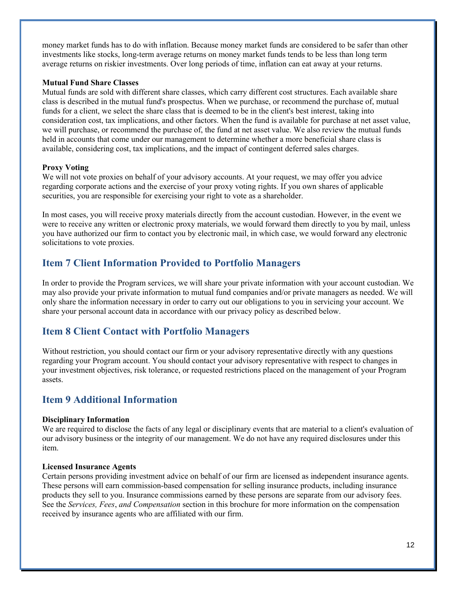money market funds has to do with inflation. Because money market funds are considered to be safer than other investments like stocks, long-term average returns on money market funds tends to be less than long term average returns on riskier investments. Over long periods of time, inflation can eat away at your returns.

#### **Mutual Fund Share Classes**

Mutual funds are sold with different share classes, which carry different cost structures. Each available share class is described in the mutual fund's prospectus. When we purchase, or recommend the purchase of, mutual funds for a client, we select the share class that is deemed to be in the client's best interest, taking into consideration cost, tax implications, and other factors. When the fund is available for purchase at net asset value, we will purchase, or recommend the purchase of, the fund at net asset value. We also review the mutual funds held in accounts that come under our management to determine whether a more beneficial share class is available, considering cost, tax implications, and the impact of contingent deferred sales charges.

#### **Proxy Voting**

We will not vote proxies on behalf of your advisory accounts. At your request, we may offer you advice regarding corporate actions and the exercise of your proxy voting rights. If you own shares of applicable securities, you are responsible for exercising your right to vote as a shareholder.

In most cases, you will receive proxy materials directly from the account custodian. However, in the event we were to receive any written or electronic proxy materials, we would forward them directly to you by mail, unless you have authorized our firm to contact you by electronic mail, in which case, we would forward any electronic solicitations to vote proxies.

## **Item 7 Client Information Provided to Portfolio Managers**

In order to provide the Program services, we will share your private information with your account custodian. We may also provide your private information to mutual fund companies and/or private managers as needed. We will only share the information necessary in order to carry out our obligations to you in servicing your account. We share your personal account data in accordance with our privacy policy as described below.

## **Item 8 Client Contact with Portfolio Managers**

Without restriction, you should contact our firm or your advisory representative directly with any questions regarding your Program account. You should contact your advisory representative with respect to changes in your investment objectives, risk tolerance, or requested restrictions placed on the management of your Program assets.

## **Item 9 Additional Information**

#### **Disciplinary Information**

We are required to disclose the facts of any legal or disciplinary events that are material to a client's evaluation of our advisory business or the integrity of our management. We do not have any required disclosures under this item.

#### **Licensed Insurance Agents**

Certain persons providing investment advice on behalf of our firm are licensed as independent insurance agents. These persons will earn commission-based compensation for selling insurance products, including insurance products they sell to you. Insurance commissions earned by these persons are separate from our advisory fees. See the *Services, Fees*, *and Compensation* section in this brochure for more information on the compensation received by insurance agents who are affiliated with our firm.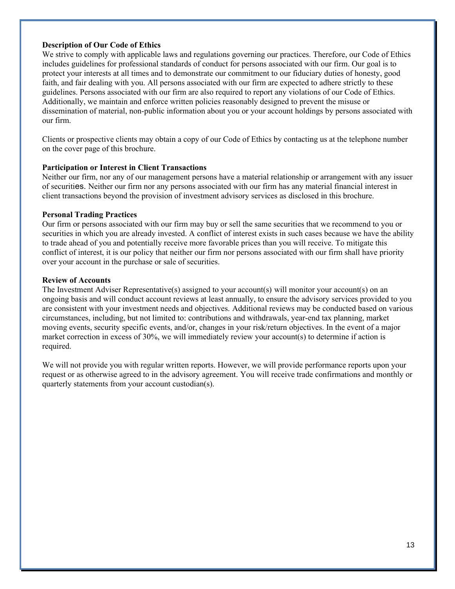### **Description of Our Code of Ethics**

We strive to comply with applicable laws and regulations governing our practices. Therefore, our Code of Ethics includes guidelines for professional standards of conduct for persons associated with our firm. Our goal is to protect your interests at all times and to demonstrate our commitment to our fiduciary duties of honesty, good faith, and fair dealing with you. All persons associated with our firm are expected to adhere strictly to these guidelines. Persons associated with our firm are also required to report any violations of our Code of Ethics. Additionally, we maintain and enforce written policies reasonably designed to prevent the misuse or dissemination of material, non-public information about you or your account holdings by persons associated with our firm.

Clients or prospective clients may obtain a copy of our Code of Ethics by contacting us at the telephone number on the cover page of this brochure.

#### **Participation or Interest in Client Transactions**

Neither our firm, nor any of our management persons have a material relationship or arrangement with any issuer of securities. Neither our firm nor any persons associated with our firm has any material financial interest in client transactions beyond the provision of investment advisory services as disclosed in this brochure.

#### **Personal Trading Practices**

Our firm or persons associated with our firm may buy or sell the same securities that we recommend to you or securities in which you are already invested. A conflict of interest exists in such cases because we have the ability to trade ahead of you and potentially receive more favorable prices than you will receive. To mitigate this conflict of interest, it is our policy that neither our firm nor persons associated with our firm shall have priority over your account in the purchase or sale of securities.

#### **Review of Accounts**

The Investment Adviser Representative(s) assigned to your account(s) will monitor your account(s) on an ongoing basis and will conduct account reviews at least annually, to ensure the advisory services provided to you are consistent with your investment needs and objectives. Additional reviews may be conducted based on various circumstances, including, but not limited to: contributions and withdrawals, year-end tax planning, market moving events, security specific events, and/or, changes in your risk/return objectives. In the event of a major market correction in excess of 30%, we will immediately review your account(s) to determine if action is required.

We will not provide you with regular written reports. However, we will provide performance reports upon your request or as otherwise agreed to in the advisory agreement. You will receive trade confirmations and monthly or quarterly statements from your account custodian(s).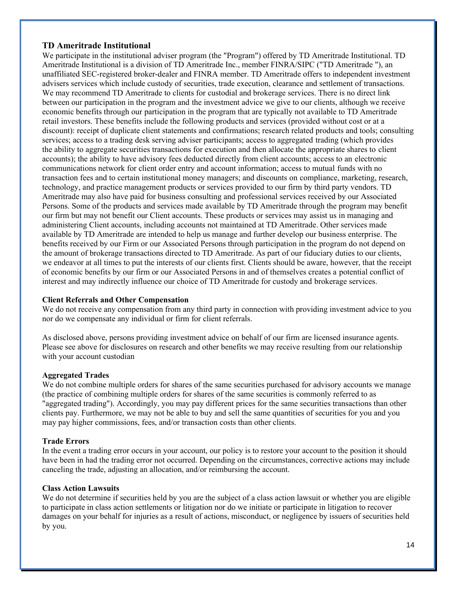## **TD Ameritrade Institutional**

We participate in the institutional adviser program (the "Program") offered by TD Ameritrade Institutional. TD Ameritrade Institutional is a division of TD Ameritrade Inc., member FINRA/SIPC ("TD Ameritrade "), an unaffiliated SEC-registered broker-dealer and FINRA member. TD Ameritrade offers to independent investment advisers services which include custody of securities, trade execution, clearance and settlement of transactions. We may recommend TD Ameritrade to clients for custodial and brokerage services. There is no direct link between our participation in the program and the investment advice we give to our clients, although we receive economic benefits through our participation in the program that are typically not available to TD Ameritrade retail investors. These benefits include the following products and services (provided without cost or at a discount): receipt of duplicate client statements and confirmations; research related products and tools; consulting services; access to a trading desk serving adviser participants; access to aggregated trading (which provides the ability to aggregate securities transactions for execution and then allocate the appropriate shares to client accounts); the ability to have advisory fees deducted directly from client accounts; access to an electronic communications network for client order entry and account information; access to mutual funds with no transaction fees and to certain institutional money managers; and discounts on compliance, marketing, research, technology, and practice management products or services provided to our firm by third party vendors. TD Ameritrade may also have paid for business consulting and professional services received by our Associated Persons. Some of the products and services made available by TD Ameritrade through the program may benefit our firm but may not benefit our Client accounts. These products or services may assist us in managing and administering Client accounts, including accounts not maintained at TD Ameritrade. Other services made available by TD Ameritrade are intended to help us manage and further develop our business enterprise. The benefits received by our Firm or our Associated Persons through participation in the program do not depend on the amount of brokerage transactions directed to TD Ameritrade. As part of our fiduciary duties to our clients, we endeavor at all times to put the interests of our clients first. Clients should be aware, however, that the receipt of economic benefits by our firm or our Associated Persons in and of themselves creates a potential conflict of interest and may indirectly influence our choice of TD Ameritrade for custody and brokerage services.

## **Client Referrals and Other Compensation**

We do not receive any compensation from any third party in connection with providing investment advice to you nor do we compensate any individual or firm for client referrals.

As disclosed above, persons providing investment advice on behalf of our firm are licensed insurance agents. Please see above for disclosures on research and other benefits we may receive resulting from our relationship with your account custodian

## **Aggregated Trades**

We do not combine multiple orders for shares of the same securities purchased for advisory accounts we manage (the practice of combining multiple orders for shares of the same securities is commonly referred to as "aggregated trading"). Accordingly, you may pay different prices for the same securities transactions than other clients pay. Furthermore, we may not be able to buy and sell the same quantities of securities for you and you may pay higher commissions, fees, and/or transaction costs than other clients.

## **Trade Errors**

In the event a trading error occurs in your account, our policy is to restore your account to the position it should have been in had the trading error not occurred. Depending on the circumstances, corrective actions may include canceling the trade, adjusting an allocation, and/or reimbursing the account.

## **Class Action Lawsuits**

We do not determine if securities held by you are the subject of a class action lawsuit or whether you are eligible to participate in class action settlements or litigation nor do we initiate or participate in litigation to recover damages on your behalf for injuries as a result of actions, misconduct, or negligence by issuers of securities held by you.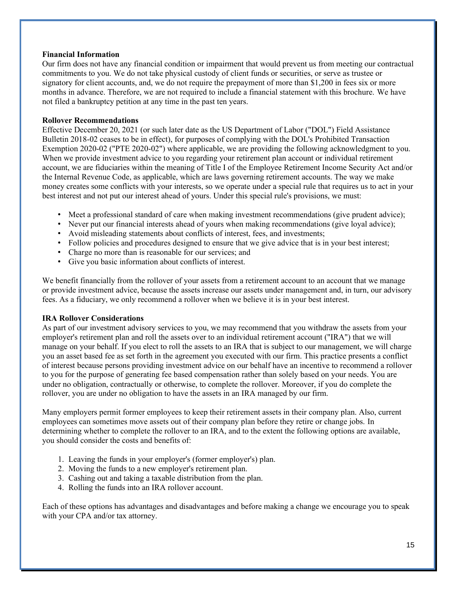#### **Financial Information**

Our firm does not have any financial condition or impairment that would prevent us from meeting our contractual commitments to you. We do not take physical custody of client funds or securities, or serve as trustee or signatory for client accounts, and, we do not require the prepayment of more than \$1,200 in fees six or more months in advance. Therefore, we are not required to include a financial statement with this brochure. We have not filed a bankruptcy petition at any time in the past ten years.

### **Rollover Recommendations**

Effective December 20, 2021 (or such later date as the US Department of Labor ("DOL") Field Assistance Bulletin 2018-02 ceases to be in effect), for purposes of complying with the DOL's Prohibited Transaction Exemption 2020-02 ("PTE 2020-02") where applicable, we are providing the following acknowledgment to you. When we provide investment advice to you regarding your retirement plan account or individual retirement account, we are fiduciaries within the meaning of Title I of the Employee Retirement Income Security Act and/or the Internal Revenue Code, as applicable, which are laws governing retirement accounts. The way we make money creates some conflicts with your interests, so we operate under a special rule that requires us to act in your best interest and not put our interest ahead of yours. Under this special rule's provisions, we must:

- Meet a professional standard of care when making investment recommendations (give prudent advice);
- Never put our financial interests ahead of yours when making recommendations (give loyal advice);
- Avoid misleading statements about conflicts of interest, fees, and investments;
- Follow policies and procedures designed to ensure that we give advice that is in your best interest;
- Charge no more than is reasonable for our services; and
- Give you basic information about conflicts of interest.

We benefit financially from the rollover of your assets from a retirement account to an account that we manage or provide investment advice, because the assets increase our assets under management and, in turn, our advisory fees. As a fiduciary, we only recommend a rollover when we believe it is in your best interest.

## **IRA Rollover Considerations**

As part of our investment advisory services to you, we may recommend that you withdraw the assets from your employer's retirement plan and roll the assets over to an individual retirement account ("IRA") that we will manage on your behalf. If you elect to roll the assets to an IRA that is subject to our management, we will charge you an asset based fee as set forth in the agreement you executed with our firm. This practice presents a conflict of interest because persons providing investment advice on our behalf have an incentive to recommend a rollover to you for the purpose of generating fee based compensation rather than solely based on your needs. You are under no obligation, contractually or otherwise, to complete the rollover. Moreover, if you do complete the rollover, you are under no obligation to have the assets in an IRA managed by our firm.

Many employers permit former employees to keep their retirement assets in their company plan. Also, current employees can sometimes move assets out of their company plan before they retire or change jobs. In determining whether to complete the rollover to an IRA, and to the extent the following options are available, you should consider the costs and benefits of:

- 1. Leaving the funds in your employer's (former employer's) plan.
- 2. Moving the funds to a new employer's retirement plan.
- 3. Cashing out and taking a taxable distribution from the plan.
- 4. Rolling the funds into an IRA rollover account.

Each of these options has advantages and disadvantages and before making a change we encourage you to speak with your CPA and/or tax attorney.